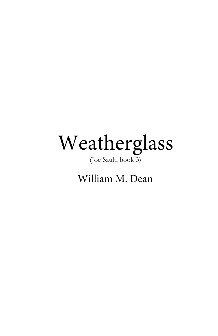# Weatherglass

(Joe Sault, book 3)

William M. Dean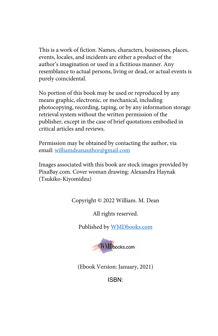This is a work of fiction. Names, characters, businesses, places, events, locales, and incidents are either a product of the author's imagination or used in a fictitious manner. Any resemblance to actual persons, living or dead, or actual events is purely coincidental.

No portion of this book may be used or reproduced by any means graphic, electronic, or mechanical, including photocopying, recording, taping, or by any information storage retrieval system without the written permission of the publisher, except in the case of brief quotations embodied in critical articles and reviews.

Permission may be obtained by contacting the author, via email: williamdeanauthor@gmail.com

Images associated with this book are stock images provided by PixaBay.com. Cover woman drawing: Alexandra Haynak (Tsukiko-Kiyomidzu)

Copyright © 2022 William. M. Dean

All rights reserved.

Published by WMDbooks.com



(Ebook Version: January, 2021)

ISBN: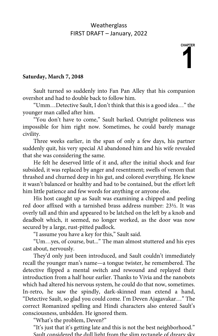**CHAPTER 1** 

#### **Saturday, March 7, 2048**

Sault turned so suddenly into Fan Pan Alley that his companion overshot and had to double back to follow him.

"Umm…Detective Sault, I don't think that this is a good idea…" the younger man called after him.

"You don't have to come," Sault barked. Outright politeness was impossible for him right now. Sometimes, he could barely manage civility.

Three weeks earlier, in the span of only a few days, his partner suddenly quit, his very special AI abandoned him and his wife revealed that she was considering the same.

He felt he deserved little of it and, after the initial shock and fear subsided, it was replaced by anger and resentment; swells of venom that thrashed and churned deep in his gut, and colored everything. He knew it wasn't balanced or healthy and had to be contained, but the effort left him little patience and few words for anything or anyone else.

His host caught up as Sault was examining a chipped and peeling red door affixed with a tarnished brass address number: 23½. It was overly tall and thin and appeared to be latched on the left by a knob and deadbolt which, it seemed, no longer worked, as the door was now secured by a large, rust-pitted padlock.

"I assume you have a key for this," Sault said.

"Um…yes, of course, but..." The man almost stuttered and his eyes cast about, nervously.

They'd only just been introduced, and Sault couldn't immediately recall the younger man's name—a tongue twister, he remembered. The detective flipped a mental switch and rewound and replayed their introduction from a half hour earlier. Thanks to Vivia and the nanobots which had altered his nervous system, he could do that now, sometimes. In-retro, he saw the spindly, dark-skinned man extend a hand, "Detective Sault, so glad you could come. I'm Deven Ajagavakar…" The correct Romanized spelling and Hindi characters also entered Sault's consciousness, unbidden. He ignored them.

"What's the problem, Deven?"

"It's just that it's getting late and this is not the best neighborhood." Sault considered the dull light from the slim rectangle of dreary sky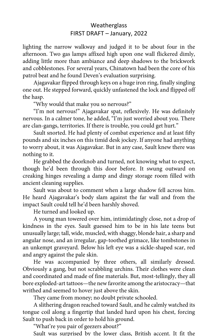lighting the narrow walkway and judged it to be about four in the afternoon. Two gas lamps affixed high upon one wall flickered dimly, adding little more than ambiance and deep shadows to the brickwork and cobblestones. For several years, Chinatown had been the core of his patrol beat and he found Deven's evaluation surprising.

Ajagavakar flipped through keys on a huge iron ring, finally singling one out. He stepped forward, quickly unfastened the lock and flipped off the hasp.

"Why would that make you so nervous?"

"I'm not nervous!" Ajagavakar spat, reflexively. He was definitely nervous. In a calmer tone, he added, "I'm just worried about you. There are clan-gangs, territories. If there is trouble, you could get hurt."

Sault snorted. He had plenty of combat experience and at least fifty pounds and six inches on this timid desk jockey. If anyone had anything to worry about, it was Ajagavakar. But in any case, Sault knew there was nothing to it.

He grabbed the doorknob and turned, not knowing what to expect, though he'd been through this door before. It swung outward on creaking hinges revealing a damp and dingy storage room filled with ancient cleaning supplies.

Sault was about to comment when a large shadow fell across him. He heard Ajagavakar's body slam against the far wall and from the impact Sault could tell he'd been harshly shoved.

He turned and looked up.

A young man towered over him, intimidatingly close, not a drop of kindness in the eyes. Sault guessed him to be in his late teens but unusually large; tall, wide, muscled, with shaggy, blonde hair, a sharp and angular nose, and an irregular, gap-toothed grimace, like tombstones in an unkempt graveyard. Below his left eye was a sickle-shaped scar, red and angry against the pale skin.

He was accompanied by three others, all similarly dressed. Obviously a gang, but not scrabbling urchins. Their clothes were clean and coordinated and made of fine materials. But, most-tellingly, they all bore exploded-art tattoos—the new favorite among the aristocracy—that writhed and seemed to hover just above the skin.

They came from money; no doubt private schooled.

A slithering dragon reached toward Sault, and he calmly watched its tongue coil along a fingertip that landed hard upon his chest, forcing Sault to push back in order to hold his ground.

"What're you pair of geezers about?"

Sault was surprised by the lower class, British accent. It fit the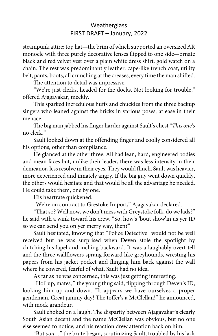steampunk attire: top hat—the brim of which supported an oversized AR monocle with three purely decorative lenses flipped to one side—ornate black and red velvet vest over a plain white dress shirt, gold watch on a chain. The rest was predominantly leather: cape-like trench coat, utility belt, pants, boots, all crunching at the creases, every time the man shifted.

The attention to detail was impressive.

"We're just clerks, headed for the docks. Not looking for trouble," offered Ajagavakar, meekly.

This sparked incredulous huffs and chuckles from the three backup singers who leaned against the bricks in various poses, at ease in their menace.

The big man jabbed his finger harder against Sault's chest "*This one's* no clerk."

Sault looked down at the offending finger and coolly considered all his options, other than compliance.

He glanced at the other three. All had lean, hard, engineered bodies and mean faces but, unlike their leader, there was less intensity in their demeanor, less resolve in their eyes. They would flinch. Sault was heavier, more experienced and innately angry. If the big guy went down quickly, the others would hesitate and that would be all the advantage he needed. He could take them, one by one.

His heartrate quickened.

"We're on contract to Grestoke Import," Ajagavakar declared.

"That so? Well now, we don't mess with Greystoke folk, do we lads?" he said with a wink toward his crew. "So, how's 'bout show'in us yer ID so we can send you on yer merry way, then?"

Sault hesitated, knowing that "Police Detective" would not be well received but he was surprised when Deven stole the spotlight by clutching his lapel and inching backward. It was a laughably overt tell and the three wallflowers sprang forward like greyhounds, wresting his papers from his jacket pocket and flinging him back against the wall where he cowered, fearful of what, Sault had no idea.

As far as he was concerned, this was just getting interesting.

"Hol' up, mates, " the young thug said, flipping through Deven's ID, looking him up and down. "It appears we have ourselves a proper gentleman. Great jammy day! The toffer's a McClellan!" he announced, with mock grandeur.

Sault choked on a laugh. The disparity between Ajagavakar's clearly South Asian decent and the name McClellan was obvious, but no one else seemed to notice, and his reaction drew attention back on him.

"But *you…*" the brute began, scrutinizing Sault, troubled by his lack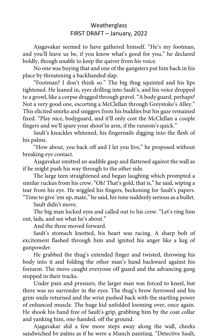Ajagavakar seemed to have gathered himself. "He's my footman, and you'll leave us be, if you know what's good for you," he declared boldly, though unable to keep the quiver from his voice.

No one was buying that and one of the gangsters put him back in his place by threatening a backhanded slap.

"Footman? I don't think so." The big thug squinted and his lips tightened. He leaned in, eyes drilling into Sault's, and his voice dropped to a growl, like a corpse dragged through gravel. "A body guard, perhaps? Not a very good one, escorting a McClellan through Greystoke's Alley." This elicited smirks and sniggers from his buddies but his gaze remained fixed. "Play nice, bodyguard, and it'll only cost the McClellan a couple fingers and we'll spare your shoot'in arm, if the ransom's quick."

Sault's knuckles whitened, his fingernails digging into the flesh of his palms.

"How about, *you* back off and I let you live," he proposed without breaking eye contact.

Ajagavakar emitted an audible gasp and flattened against the wall as if he might push his way through to the other side.

The large teen straightened and began laughing which prompted a similar ruckus from his crew. "Oh! That's gold, that is," he said, wiping a tear from his eye. He wiggled his fingers, beckoning for Sault's papers. "Time to give 'em up, mate," he said, his tone suddenly serious as a bullet.

Sault didn't move.

The big man locked eyes and called out to his crew. "Let's ring him out, lads, and see what he's about."

And the three moved forward.

Sault's stomach knotted, his heart was racing. A sharp bolt of excitement flashed through him and ignited his anger like a keg of gunpowder.

He grabbed the thug's extended finger and twisted, throwing his body into it and folding the other man's hand backward against his forearm. The move caught everyone off guard and the advancing gang stopped in their tracks.

Under pain and pressure, the larger man was forced to kneel, but there was no surrender in the eyes. The thug's brow furrowed and his grim smile returned and the wrist pushed back with the startling power of enhanced muscle. The huge kid unfolded looming over, once again. He shook his hand free of Sault's grip, grabbing him by the coat collar and yanking him, one-handed, off the ground.

Ajagavakar slid a few more steps away along the wall, cheeks sandwiched by palms as if he were a Munch painting. "Detective Sault,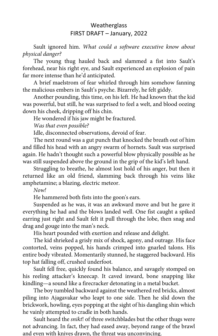Sault ignored him. *What could a software executive know about physical danger?* 

The young thug hauled back and slammed a fist into Sault's forehead, near his right eye, and Sault experienced an explosion of pain far more intense than he'd anticipated.

A brief maelstrom of fear whirled through him somehow fanning the malicious embers in Sault's psyche. Bizarrely, he felt giddy.

Another pounding, this time, on his left. He had known that the kid was powerful, but still, he was surprised to feel a welt, and blood oozing down his cheek, dripping off his chin.

He wondered if his jaw might be fractured.

*Was that even possible?*

Idle, disconnected observations, devoid of fear.

The next round was a gut punch that knocked the breath out of him and filled his head with an angry swarm of hornets. Sault was surprised again. He hadn't thought such a powerful blow physically possible as he was still suspended above the ground in the grip of the kid's left hand.

Struggling to breathe, he almost lost hold of his anger, but then it returned like an old friend, slamming back through his veins like amphetamine; a blazing, electric meteor.

*Now!*

He hammered both fists into the goon's ears.

Suspended as he was, it was an awkward move and but he gave it everything he had and the blows landed well. One fist caught a spiked earring just right and Sault felt it pull through the lobe, then snag and drag and gouge into the man's neck.

His heart pounded with exertion and release and delight.

The kid shrieked a grisly mix of shock, agony, and outrage. His face contorted, veins popped, his hands crimped into gnarled talons. His entire body vibrated. Momentarily stunned, he staggered backward. His top hat falling off, crushed underfoot.

Sault fell free, quickly found his balance, and savagely stomped on his reeling attacker's kneecap. It caved inward, bone snapping like kindling—a sound like a firecracker detonating in a metal bucket.

The boy tumbled backward against the weathered red bricks, almost piling into Ajagavakar who leapt to one side. Then he slid down the brickwork, howling, eyes popping at the sight of his dangling shin which he vainly attempted to cradle in both hands.

Sault heard the *snikt*! of three switchblades but the other thugs were not advancing. In fact, they had eased away, beyond range of the brawl and even with knives drawn, the threat was unconvincing.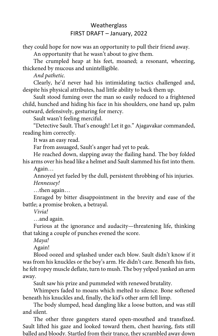they could hope for now was an opportunity to pull their friend away.

An opportunity that he wasn't about to give them.

The crumpled heap at his feet, moaned; a resonant, wheezing, thickened by mucous and unintelligible.

*And pathetic.* 

Clearly, he'd never had his intimidating tactics challenged and, despite his physical attributes, had little ability to back them up.

Sault stood fuming over the man so easily reduced to a frightened child, hunched and hiding his face in his shoulders, one hand up, palm outward, defensively, gesturing for mercy.

Sault wasn't feeling merciful.

"Detective Sault. That's enough! Let it go." Ajagavakar commanded, reading him correctly.

It was an easy read.

Far from assuaged, Sault's anger had yet to peak.

He reached down, slapping away the flailing hand. The boy folded his arms over his head like a helmet and Sault slammed his fist into them.

Again…

Annoyed yet fueled by the dull, persistent throbbing of his injuries. *Hennessey!*

…then again…

Enraged by bitter disappointment in the brevity and ease of the battle; a promise broken, a betrayal.

*Vivia!*

…and again.

Furious at the ignorance and audacity—threatening life, thinking that taking a couple of punches evened the score.

*Maya!*

Again!

Blood oozed and splashed under each blow. Sault didn't know if it was from his knuckles or the boy's arm. He didn't care. Beneath his fists, he felt ropey muscle deflate, turn to mush. The boy yelped yanked an arm away.

Sault saw his prize and pummeled with renewed brutality.

Whimpers faded to moans which melted to silence. Bone softened beneath his knuckles and, finally, the kid's other arm fell limp.

The body slumped, head dangling like a loose button, and was still and silent.

The other three gangsters stared open-mouthed and transfixed. Sault lifted his gaze and looked toward them, chest heaving, fists still balled and bloody. Startled from their trance, they scrambled away down